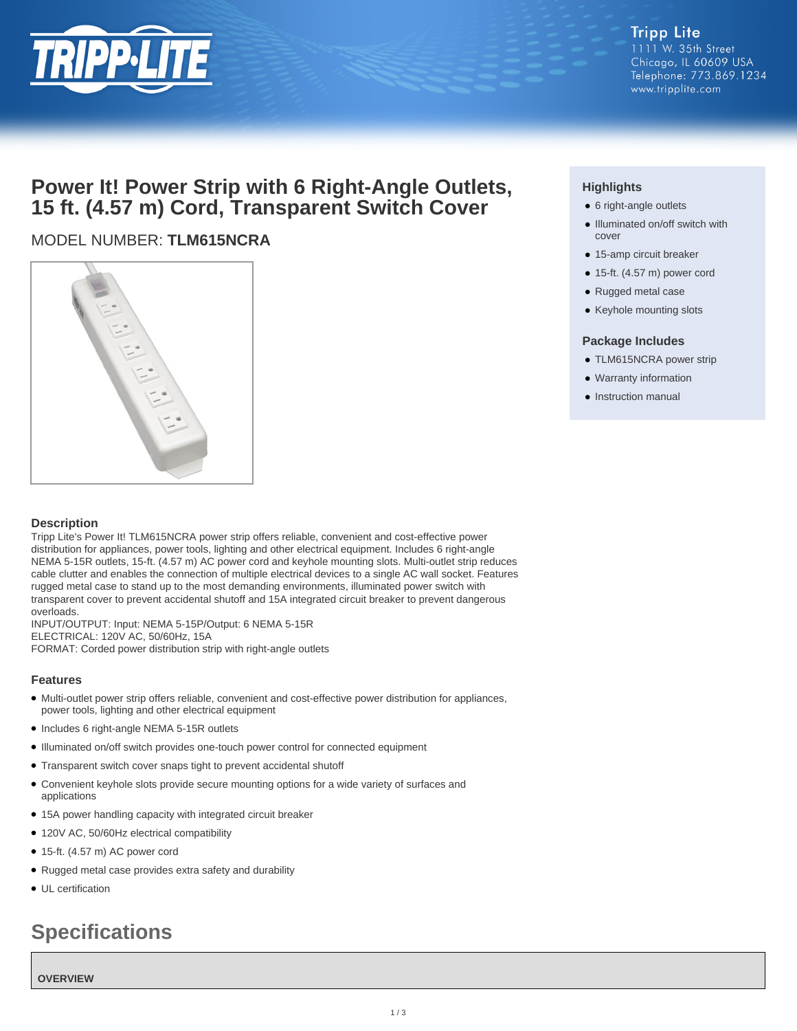

#### **Tripp Lite** 1111 W. 35th Street Chicago, IL 60609 USA Telephone: 773.869.1234 www.tripplite.com

## **Power It! Power Strip with 6 Right-Angle Outlets, 15 ft. (4.57 m) Cord, Transparent Switch Cover**

### MODEL NUMBER: **TLM615NCRA**



#### **Description**

Tripp Lite's Power It! TLM615NCRA power strip offers reliable, convenient and cost-effective power distribution for appliances, power tools, lighting and other electrical equipment. Includes 6 right-angle NEMA 5-15R outlets, 15-ft. (4.57 m) AC power cord and keyhole mounting slots. Multi-outlet strip reduces cable clutter and enables the connection of multiple electrical devices to a single AC wall socket. Features rugged metal case to stand up to the most demanding environments, illuminated power switch with transparent cover to prevent accidental shutoff and 15A integrated circuit breaker to prevent dangerous overloads.

INPUT/OUTPUT: Input: NEMA 5-15P/Output: 6 NEMA 5-15R ELECTRICAL: 120V AC, 50/60Hz, 15A FORMAT: Corded power distribution strip with right-angle outlets

#### **Features**

- Multi-outlet power strip offers reliable, convenient and cost-effective power distribution for appliances, power tools, lighting and other electrical equipment
- Includes 6 right-angle NEMA 5-15R outlets
- Illuminated on/off switch provides one-touch power control for connected equipment
- Transparent switch cover snaps tight to prevent accidental shutoff
- Convenient keyhole slots provide secure mounting options for a wide variety of surfaces and applications
- 15A power handling capacity with integrated circuit breaker
- 120V AC, 50/60Hz electrical compatibility
- 15-ft. (4.57 m) AC power cord
- Rugged metal case provides extra safety and durability
- UL certification

# **Specifications**

#### **OVERVIEW**

#### **Highlights**

- 6 right-angle outlets
- Illuminated on/off switch with cover
- 15-amp circuit breaker
- 15-ft. (4.57 m) power cord
- Rugged metal case
- Keyhole mounting slots

#### **Package Includes**

- TLM615NCRA power strip
- Warranty information
- Instruction manual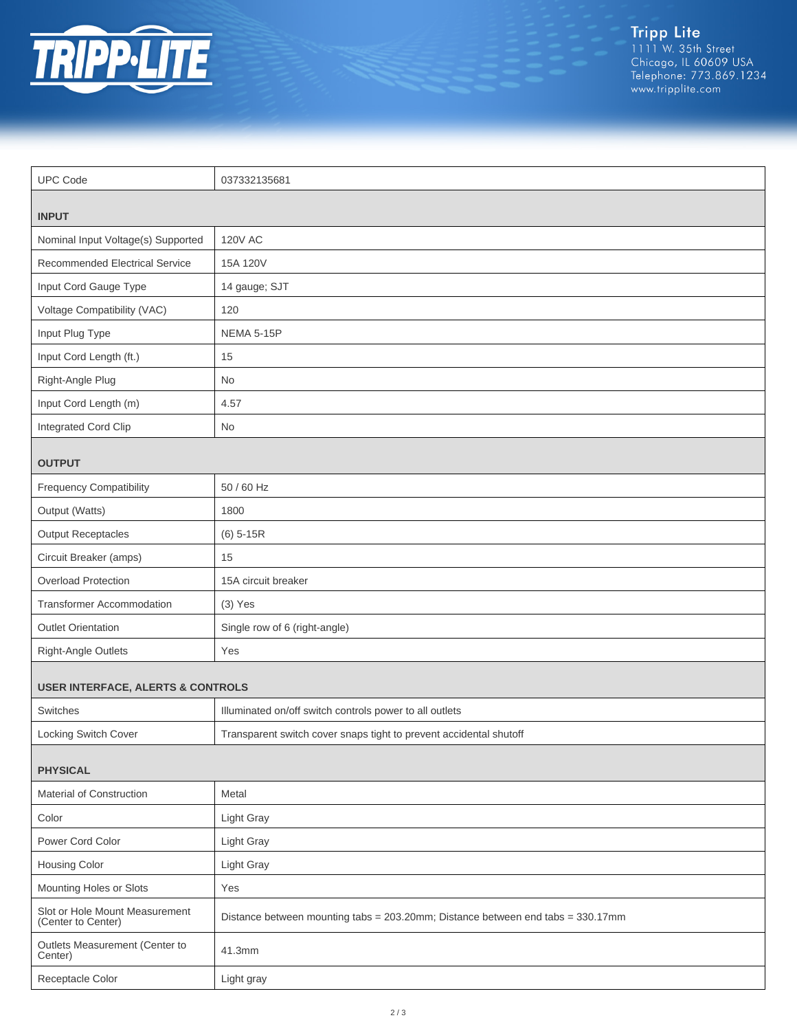

Tripp Lite<br>1111 W. 35th Street<br>Chicago, IL 60609 USA<br>Telephone: 773.869.1234<br>www.tripplite.com

| <b>UPC Code</b>                                      | 037332135681                                                                    |  |
|------------------------------------------------------|---------------------------------------------------------------------------------|--|
|                                                      |                                                                                 |  |
| <b>INPUT</b>                                         |                                                                                 |  |
| Nominal Input Voltage(s) Supported                   | <b>120V AC</b>                                                                  |  |
| Recommended Electrical Service                       | 15A 120V                                                                        |  |
| Input Cord Gauge Type                                | 14 gauge; SJT                                                                   |  |
| Voltage Compatibility (VAC)                          | 120                                                                             |  |
| Input Plug Type                                      | NEMA 5-15P                                                                      |  |
| Input Cord Length (ft.)                              | 15                                                                              |  |
| Right-Angle Plug                                     | No                                                                              |  |
| Input Cord Length (m)                                | 4.57                                                                            |  |
| Integrated Cord Clip                                 | No                                                                              |  |
| <b>OUTPUT</b>                                        |                                                                                 |  |
| <b>Frequency Compatibility</b>                       | 50 / 60 Hz                                                                      |  |
| Output (Watts)                                       | 1800                                                                            |  |
| <b>Output Receptacles</b>                            | $(6)$ 5-15R                                                                     |  |
| Circuit Breaker (amps)                               | 15                                                                              |  |
| <b>Overload Protection</b>                           | 15A circuit breaker                                                             |  |
| <b>Transformer Accommodation</b>                     | $(3)$ Yes                                                                       |  |
| <b>Outlet Orientation</b>                            | Single row of 6 (right-angle)                                                   |  |
| Right-Angle Outlets                                  | Yes                                                                             |  |
| <b>USER INTERFACE, ALERTS &amp; CONTROLS</b>         |                                                                                 |  |
| Switches                                             | Illuminated on/off switch controls power to all outlets                         |  |
| Locking Switch Cover                                 | Transparent switch cover snaps tight to prevent accidental shutoff              |  |
|                                                      |                                                                                 |  |
| <b>PHYSICAL</b>                                      |                                                                                 |  |
| Material of Construction                             | Metal                                                                           |  |
| Color                                                | Light Gray                                                                      |  |
| Power Cord Color                                     | Light Gray                                                                      |  |
| Housing Color                                        | Light Gray                                                                      |  |
| Mounting Holes or Slots                              | Yes                                                                             |  |
| Slot or Hole Mount Measurement<br>(Center to Center) | Distance between mounting tabs = 203.20mm; Distance between end tabs = 330.17mm |  |
| Outlets Measurement (Center to<br>Center)            | 41.3mm                                                                          |  |
| Receptacle Color                                     | Light gray                                                                      |  |